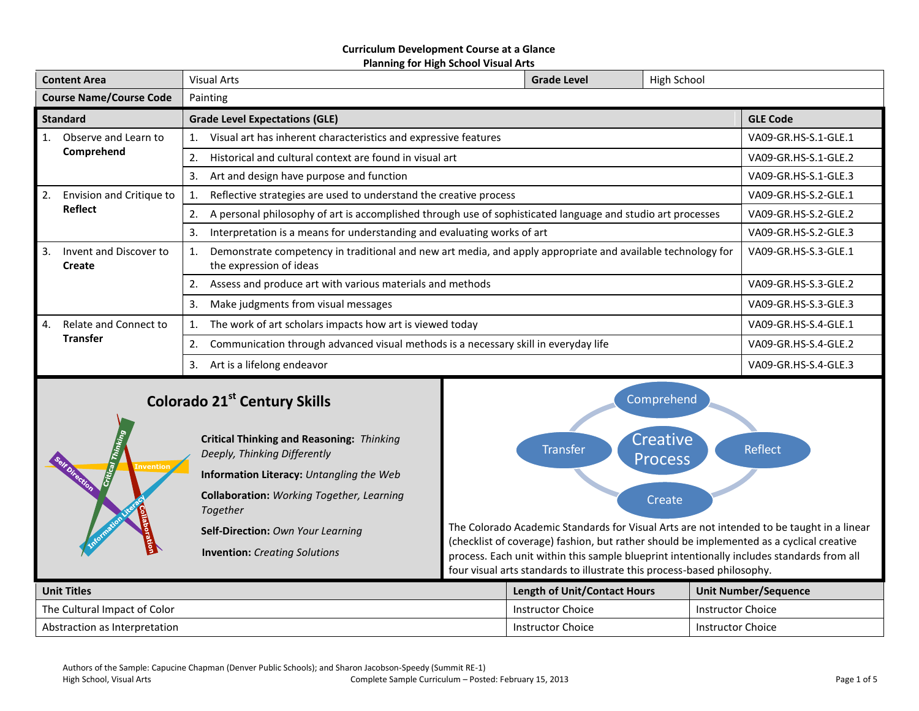#### **Curriculum Development Course at a Glance Planning for High School Visual Arts**

| <b>Content Area</b>                    |                                          | High School<br><b>Visual Arts</b><br><b>Grade Level</b>                                                                                |                 |                      |                      |  |
|----------------------------------------|------------------------------------------|----------------------------------------------------------------------------------------------------------------------------------------|-----------------|----------------------|----------------------|--|
| <b>Course Name/Course Code</b>         |                                          | Painting                                                                                                                               |                 |                      |                      |  |
| <b>Standard</b>                        |                                          | <b>Grade Level Expectations (GLE)</b>                                                                                                  | <b>GLE Code</b> |                      |                      |  |
| 1.                                     | Observe and Learn to                     | Visual art has inherent characteristics and expressive features                                                                        |                 | VA09-GR.HS-S.1-GLE.1 |                      |  |
|                                        | Comprehend                               | Historical and cultural context are found in visual art<br>2.                                                                          |                 |                      | VA09-GR.HS-S.1-GLE.2 |  |
|                                        |                                          | 3.<br>Art and design have purpose and function                                                                                         |                 |                      | VA09-GR.HS-S.1-GLE.3 |  |
| 2.                                     | Envision and Critique to                 | Reflective strategies are used to understand the creative process                                                                      |                 |                      | VA09-GR.HS-S.2-GLE.1 |  |
|                                        | <b>Reflect</b>                           | A personal philosophy of art is accomplished through use of sophisticated language and studio art processes<br>2.                      |                 |                      | VA09-GR.HS-S.2-GLE.2 |  |
|                                        |                                          | Interpretation is a means for understanding and evaluating works of art<br>3.                                                          |                 |                      | VA09-GR.HS-S.2-GLE.3 |  |
| 3.<br>Invent and Discover to<br>Create |                                          | Demonstrate competency in traditional and new art media, and apply appropriate and available technology for<br>the expression of ideas |                 |                      | VA09-GR.HS-S.3-GLE.1 |  |
|                                        |                                          | Assess and produce art with various materials and methods                                                                              |                 | VA09-GR.HS-S.3-GLE.2 |                      |  |
|                                        |                                          | 3.<br>Make judgments from visual messages                                                                                              |                 | VA09-GR.HS-S.3-GLE.3 |                      |  |
| 4.                                     | Relate and Connect to<br><b>Transfer</b> | The work of art scholars impacts how art is viewed today                                                                               |                 | VA09-GR.HS-S.4-GLE.1 |                      |  |
|                                        |                                          | Communication through advanced visual methods is a necessary skill in everyday life                                                    |                 |                      | VA09-GR.HS-S.4-GLE.2 |  |
|                                        |                                          | Art is a lifelong endeavor<br>3.                                                                                                       |                 |                      | VA09-GR.HS-S.4-GLE.3 |  |
|                                        |                                          | the control of the con-                                                                                                                |                 |                      |                      |  |

# **Colorado 21st Century Skills**

**Invention**

**Critical Thinking and Reasoning:** *Thinking Deeply, Thinking Differently* **Information Literacy:** *Untangling the Web* **Collaboration:** *Working Together, Learning Together*

**Self-Direction:** *Own Your Learning*

**Invention:** *Creating Solutions*



The Colorado Academic Standards for Visual Arts are not intended to be taught in a linear (checklist of coverage) fashion, but rather should be implemented as a cyclical creative process. Each unit within this sample blueprint intentionally includes standards from all four visual arts standards to illustrate this process-based philosophy.

| <b>Unit Titles</b>             | <b>Length of Unit/Contact Hours</b> | Unit Number/Sequence     |
|--------------------------------|-------------------------------------|--------------------------|
| l The Cultural Impact of Color | Instructor Choice                   | Instructor Choice        |
| Abstraction as Interpretation  | Instructor Choice                   | <b>Instructor Choice</b> |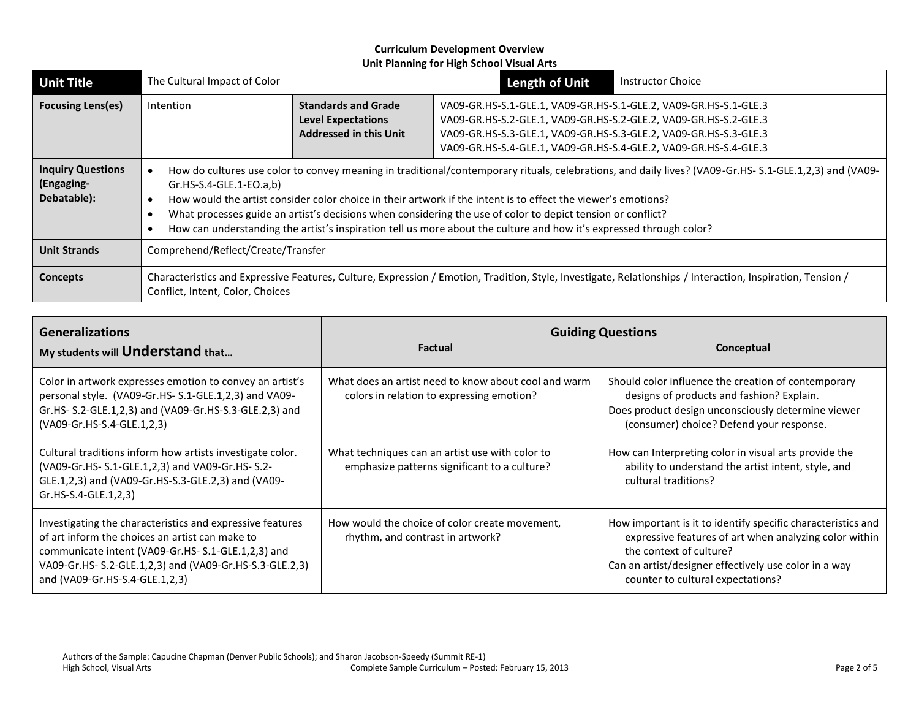| <b>Unit Title</b>                                     | The Cultural Impact of Color                                                                                                                                                                                                                                                                                                                                                                                                                                                                                                               |                                                                                          | <b>Length of Unit</b>                                                                                                                                                                                                                                                        | <b>Instructor Choice</b> |
|-------------------------------------------------------|--------------------------------------------------------------------------------------------------------------------------------------------------------------------------------------------------------------------------------------------------------------------------------------------------------------------------------------------------------------------------------------------------------------------------------------------------------------------------------------------------------------------------------------------|------------------------------------------------------------------------------------------|------------------------------------------------------------------------------------------------------------------------------------------------------------------------------------------------------------------------------------------------------------------------------|--------------------------|
| <b>Focusing Lens(es)</b>                              | <b>Intention</b>                                                                                                                                                                                                                                                                                                                                                                                                                                                                                                                           | <b>Standards and Grade</b><br><b>Level Expectations</b><br><b>Addressed in this Unit</b> | VA09-GR.HS-S.1-GLE.1, VA09-GR.HS-S.1-GLE.2, VA09-GR.HS-S.1-GLE.3<br>VA09-GR.HS-S.2-GLE.1, VA09-GR.HS-S.2-GLE.2, VA09-GR.HS-S.2-GLE.3<br>VA09-GR.HS-S.3-GLE.1, VA09-GR.HS-S.3-GLE.2, VA09-GR.HS-S.3-GLE.3<br>VA09-GR.HS-S.4-GLE.1, VA09-GR.HS-S.4-GLE.2, VA09-GR.HS-S.4-GLE.3 |                          |
| <b>Inquiry Questions</b><br>(Engaging-<br>Debatable): | How do cultures use color to convey meaning in traditional/contemporary rituals, celebrations, and daily lives? (VA09-Gr.HS- S.1-GLE.1,2,3) and (VA09-<br>$Gr.HS-S.4-GLE.1-EO.a,b)$<br>How would the artist consider color choice in their artwork if the intent is to effect the viewer's emotions?<br>What processes guide an artist's decisions when considering the use of color to depict tension or conflict?<br>How can understanding the artist's inspiration tell us more about the culture and how it's expressed through color? |                                                                                          |                                                                                                                                                                                                                                                                              |                          |
| <b>Unit Strands</b>                                   | Comprehend/Reflect/Create/Transfer                                                                                                                                                                                                                                                                                                                                                                                                                                                                                                         |                                                                                          |                                                                                                                                                                                                                                                                              |                          |
| Concepts                                              | Characteristics and Expressive Features, Culture, Expression / Emotion, Tradition, Style, Investigate, Relationships / Interaction, Inspiration, Tension /<br>Conflict, Intent, Color, Choices                                                                                                                                                                                                                                                                                                                                             |                                                                                          |                                                                                                                                                                                                                                                                              |                          |

| <b>Generalizations</b><br>My students will Understand that                                                                                                                                                                                                     | <b>Factual</b>                                                                                    | <b>Guiding Questions</b><br>Conceptual                                                                                                                                                                                                          |
|----------------------------------------------------------------------------------------------------------------------------------------------------------------------------------------------------------------------------------------------------------------|---------------------------------------------------------------------------------------------------|-------------------------------------------------------------------------------------------------------------------------------------------------------------------------------------------------------------------------------------------------|
| Color in artwork expresses emotion to convey an artist's<br>personal style. (VA09-Gr.HS-S.1-GLE.1,2,3) and VA09-<br>Gr.HS- S.2-GLE.1,2,3) and (VA09-Gr.HS-S.3-GLE.2,3) and<br>(VA09-Gr.HS-S.4-GLE.1,2,3)                                                       | What does an artist need to know about cool and warm<br>colors in relation to expressing emotion? | Should color influence the creation of contemporary<br>designs of products and fashion? Explain.<br>Does product design unconsciously determine viewer<br>(consumer) choice? Defend your response.                                              |
| Cultural traditions inform how artists investigate color.<br>(VA09-Gr.HS- S.1-GLE.1,2,3) and VA09-Gr.HS- S.2-<br>GLE.1,2,3) and (VA09-Gr.HS-S.3-GLE.2,3) and (VA09-<br>$Gr.HS-S.4-GLE.1,2,3)$                                                                  | What techniques can an artist use with color to<br>emphasize patterns significant to a culture?   | How can Interpreting color in visual arts provide the<br>ability to understand the artist intent, style, and<br>cultural traditions?                                                                                                            |
| Investigating the characteristics and expressive features<br>of art inform the choices an artist can make to<br>communicate intent (VA09-Gr.HS-S.1-GLE.1,2,3) and<br>VA09-Gr.HS- S.2-GLE.1,2,3) and (VA09-Gr.HS-S.3-GLE.2,3)<br>and (VA09-Gr.HS-S.4-GLE.1,2,3) | How would the choice of color create movement,<br>rhythm, and contrast in artwork?                | How important is it to identify specific characteristics and<br>expressive features of art when analyzing color within<br>the context of culture?<br>Can an artist/designer effectively use color in a way<br>counter to cultural expectations? |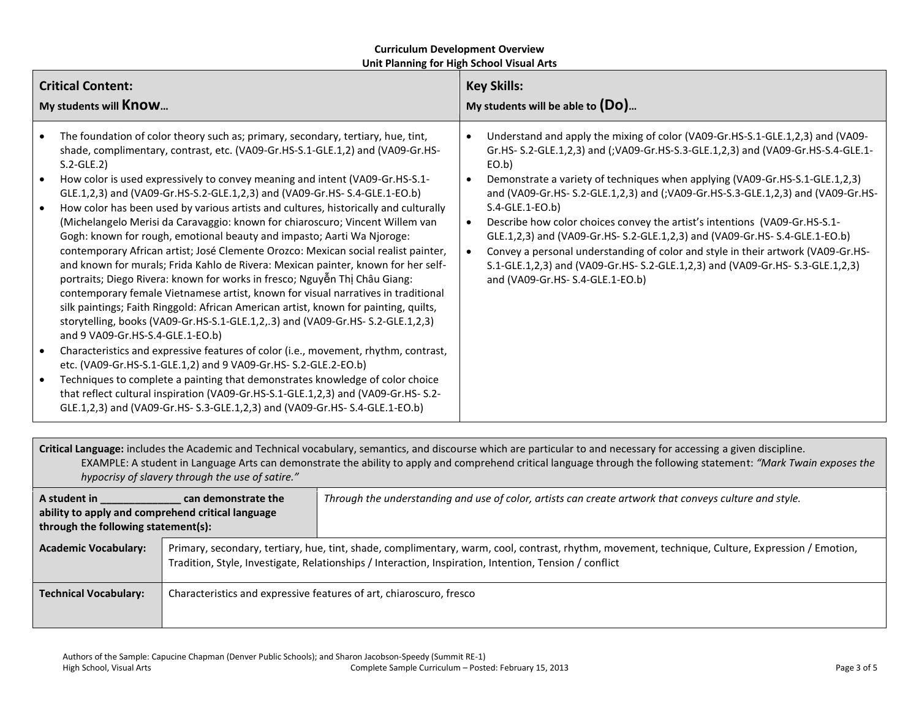| <b>Critical Content:</b>                                                                                                                                                                                                                                                                                                                                                                                                                                                                                                                                                                                                                                                                                                                                                                                                                                                                                                                                                                                                                                                                                                                                                                                                                                                                                                                                                                                                                                                                                                                                                                                                                     | <b>Key Skills:</b>                                                                                                                                                                                                                                                                                                                                                                                                                                                                                                                                                                                                                                                                                                                      |  |
|----------------------------------------------------------------------------------------------------------------------------------------------------------------------------------------------------------------------------------------------------------------------------------------------------------------------------------------------------------------------------------------------------------------------------------------------------------------------------------------------------------------------------------------------------------------------------------------------------------------------------------------------------------------------------------------------------------------------------------------------------------------------------------------------------------------------------------------------------------------------------------------------------------------------------------------------------------------------------------------------------------------------------------------------------------------------------------------------------------------------------------------------------------------------------------------------------------------------------------------------------------------------------------------------------------------------------------------------------------------------------------------------------------------------------------------------------------------------------------------------------------------------------------------------------------------------------------------------------------------------------------------------|-----------------------------------------------------------------------------------------------------------------------------------------------------------------------------------------------------------------------------------------------------------------------------------------------------------------------------------------------------------------------------------------------------------------------------------------------------------------------------------------------------------------------------------------------------------------------------------------------------------------------------------------------------------------------------------------------------------------------------------------|--|
| My students will <b>Know</b>                                                                                                                                                                                                                                                                                                                                                                                                                                                                                                                                                                                                                                                                                                                                                                                                                                                                                                                                                                                                                                                                                                                                                                                                                                                                                                                                                                                                                                                                                                                                                                                                                 | My students will be able to $(Do)$                                                                                                                                                                                                                                                                                                                                                                                                                                                                                                                                                                                                                                                                                                      |  |
| The foundation of color theory such as; primary, secondary, tertiary, hue, tint,<br>$\bullet$<br>shade, complimentary, contrast, etc. (VA09-Gr.HS-S.1-GLE.1,2) and (VA09-Gr.HS-<br>$S.2-GLE.2)$<br>How color is used expressively to convey meaning and intent (VA09-Gr.HS-S.1-<br>$\bullet$<br>GLE.1,2,3) and (VA09-Gr.HS-S.2-GLE.1,2,3) and (VA09-Gr.HS-S.4-GLE.1-EO.b)<br>How color has been used by various artists and cultures, historically and culturally<br>$\bullet$<br>(Michelangelo Merisi da Caravaggio: known for chiaroscuro; Vincent Willem van<br>Gogh: known for rough, emotional beauty and impasto; Aarti Wa Njoroge:<br>contemporary African artist; José Clemente Orozco: Mexican social realist painter,<br>and known for murals; Frida Kahlo de Rivera: Mexican painter, known for her self-<br>portraits; Diego Rivera: known for works in fresco; Nguyễn Thị Châu Giang:<br>contemporary female Vietnamese artist, known for visual narratives in traditional<br>silk paintings; Faith Ringgold: African American artist, known for painting, quilts,<br>storytelling, books (VA09-Gr.HS-S.1-GLE.1,2,.3) and (VA09-Gr.HS-S.2-GLE.1,2,3)<br>and 9 VA09-Gr.HS-S.4-GLE.1-EO.b)<br>Characteristics and expressive features of color (i.e., movement, rhythm, contrast,<br>$\bullet$<br>etc. (VA09-Gr.HS-S.1-GLE.1,2) and 9 VA09-Gr.HS- S.2-GLE.2-EO.b)<br>Techniques to complete a painting that demonstrates knowledge of color choice<br>$\bullet$<br>that reflect cultural inspiration (VA09-Gr.HS-S.1-GLE.1,2,3) and (VA09-Gr.HS-S.2-<br>GLE.1,2,3) and (VA09-Gr.HS-S.3-GLE.1,2,3) and (VA09-Gr.HS-S.4-GLE.1-EO.b) | Understand and apply the mixing of color (VA09-Gr.HS-S.1-GLE.1,2,3) and (VA09-<br>Gr.HS- S.2-GLE.1,2,3) and (;VA09-Gr.HS-S.3-GLE.1,2,3) and (VA09-Gr.HS-S.4-GLE.1-<br>EO.b)<br>Demonstrate a variety of techniques when applying (VA09-Gr.HS-S.1-GLE.1,2,3)<br>and (VA09-Gr.HS- S.2-GLE.1,2,3) and (;VA09-Gr.HS-S.3-GLE.1,2,3) and (VA09-Gr.HS-<br>$S.4-GLE.1-EO.b)$<br>Describe how color choices convey the artist's intentions (VA09-Gr.HS-S.1-<br>GLE.1,2,3) and (VA09-Gr.HS-S.2-GLE.1,2,3) and (VA09-Gr.HS-S.4-GLE.1-EO.b)<br>Convey a personal understanding of color and style in their artwork (VA09-Gr.HS-<br>S.1-GLE.1,2,3) and (VA09-Gr.HS-S.2-GLE.1,2,3) and (VA09-Gr.HS-S.3-GLE.1,2,3)<br>and (VA09-Gr.HS- S.4-GLE.1-EO.b) |  |

**Critical Language:** includes the Academic and Technical vocabulary, semantics, and discourse which are particular to and necessary for accessing a given discipline. EXAMPLE: A student in Language Arts can demonstrate the ability to apply and comprehend critical language through the following statement: *"Mark Twain exposes the hypocrisy of slavery through the use of satire."*

| A student in<br>can demonstrate the<br>ability to apply and comprehend critical language<br>through the following statement(s): |                                                                                                                                                                                                                                                            | Through the understanding and use of color, artists can create artwork that conveys culture and style. |
|---------------------------------------------------------------------------------------------------------------------------------|------------------------------------------------------------------------------------------------------------------------------------------------------------------------------------------------------------------------------------------------------------|--------------------------------------------------------------------------------------------------------|
| <b>Academic Vocabulary:</b>                                                                                                     | Primary, secondary, tertiary, hue, tint, shade, complimentary, warm, cool, contrast, rhythm, movement, technique, Culture, Expression / Emotion,<br>Tradition, Style, Investigate, Relationships / Interaction, Inspiration, Intention, Tension / conflict |                                                                                                        |
| <b>Technical Vocabulary:</b>                                                                                                    | Characteristics and expressive features of art, chiaroscuro, fresco                                                                                                                                                                                        |                                                                                                        |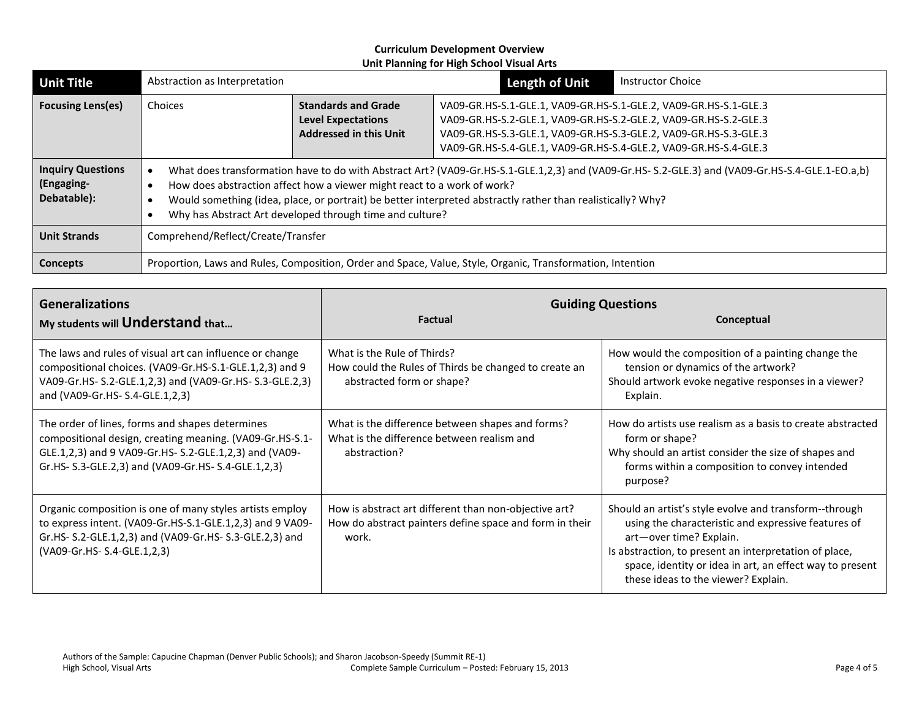| <b>Unit Title</b>                                                                                                      | Abstraction as Interpretation                                                                                                                                                                                                                                                                                                                                                                        |                                                                                          | <b>Length of Unit</b>                                                                                                                                                                                                                                                        | <b>Instructor Choice</b> |
|------------------------------------------------------------------------------------------------------------------------|------------------------------------------------------------------------------------------------------------------------------------------------------------------------------------------------------------------------------------------------------------------------------------------------------------------------------------------------------------------------------------------------------|------------------------------------------------------------------------------------------|------------------------------------------------------------------------------------------------------------------------------------------------------------------------------------------------------------------------------------------------------------------------------|--------------------------|
| <b>Focusing Lens(es)</b>                                                                                               | Choices                                                                                                                                                                                                                                                                                                                                                                                              | <b>Standards and Grade</b><br><b>Level Expectations</b><br><b>Addressed in this Unit</b> | VA09-GR.HS-S.1-GLE.1, VA09-GR.HS-S.1-GLE.2, VA09-GR.HS-S.1-GLE.3<br>VA09-GR.HS-S.2-GLE.1, VA09-GR.HS-S.2-GLE.2, VA09-GR.HS-S.2-GLE.3<br>VA09-GR.HS-S.3-GLE.1, VA09-GR.HS-S.3-GLE.2, VA09-GR.HS-S.3-GLE.3<br>VA09-GR.HS-S.4-GLE.1, VA09-GR.HS-S.4-GLE.2, VA09-GR.HS-S.4-GLE.3 |                          |
| <b>Inquiry Questions</b><br>(Engaging-<br>Debatable):                                                                  | What does transformation have to do with Abstract Art? (VA09-Gr.HS-S.1-GLE.1,2,3) and (VA09-Gr.HS-S.2-GLE.3) and (VA09-Gr.HS-S.4-GLE.1-EO.a,b)<br>How does abstraction affect how a viewer might react to a work of work?<br>Would something (idea, place, or portrait) be better interpreted abstractly rather than realistically? Why?<br>Why has Abstract Art developed through time and culture? |                                                                                          |                                                                                                                                                                                                                                                                              |                          |
| <b>Unit Strands</b>                                                                                                    | Comprehend/Reflect/Create/Transfer                                                                                                                                                                                                                                                                                                                                                                   |                                                                                          |                                                                                                                                                                                                                                                                              |                          |
| Proportion, Laws and Rules, Composition, Order and Space, Value, Style, Organic, Transformation, Intention<br>Concepts |                                                                                                                                                                                                                                                                                                                                                                                                      |                                                                                          |                                                                                                                                                                                                                                                                              |                          |

| <b>Generalizations</b><br>My students will Understand that                                                                                                                                                                   | <b>Factual</b>                                                                                                            | <b>Guiding Questions</b><br>Conceptual                                                                                                                                                                                                                                                                |
|------------------------------------------------------------------------------------------------------------------------------------------------------------------------------------------------------------------------------|---------------------------------------------------------------------------------------------------------------------------|-------------------------------------------------------------------------------------------------------------------------------------------------------------------------------------------------------------------------------------------------------------------------------------------------------|
| The laws and rules of visual art can influence or change<br>compositional choices. (VA09-Gr.HS-S.1-GLE.1,2,3) and 9<br>VA09-Gr.HS-S.2-GLE.1,2,3) and (VA09-Gr.HS-S.3-GLE.2,3)<br>and (VA09-Gr.HS- S.4-GLE.1,2,3)             | What is the Rule of Thirds?<br>How could the Rules of Thirds be changed to create an<br>abstracted form or shape?         | How would the composition of a painting change the<br>tension or dynamics of the artwork?<br>Should artwork evoke negative responses in a viewer?<br>Explain.                                                                                                                                         |
| The order of lines, forms and shapes determines<br>compositional design, creating meaning. (VA09-Gr.HS-S.1-<br>GLE.1,2,3) and 9 VA09-Gr.HS- S.2-GLE.1,2,3) and (VA09-<br>Gr.HS- S.3-GLE.2,3) and (VA09-Gr.HS- S.4-GLE.1,2,3) | What is the difference between shapes and forms?<br>What is the difference between realism and<br>abstraction?            | How do artists use realism as a basis to create abstracted<br>form or shape?<br>Why should an artist consider the size of shapes and<br>forms within a composition to convey intended<br>purpose?                                                                                                     |
| Organic composition is one of many styles artists employ<br>to express intent. (VA09-Gr.HS-S.1-GLE.1,2,3) and 9 VA09-<br>Gr.HS- S.2-GLE.1,2,3) and (VA09-Gr.HS- S.3-GLE.2,3) and<br>(VA09-Gr.HS-S.4-GLE.1,2,3)               | How is abstract art different than non-objective art?<br>How do abstract painters define space and form in their<br>work. | Should an artist's style evolve and transform--through<br>using the characteristic and expressive features of<br>art-over time? Explain.<br>Is abstraction, to present an interpretation of place,<br>space, identity or idea in art, an effect way to present<br>these ideas to the viewer? Explain. |